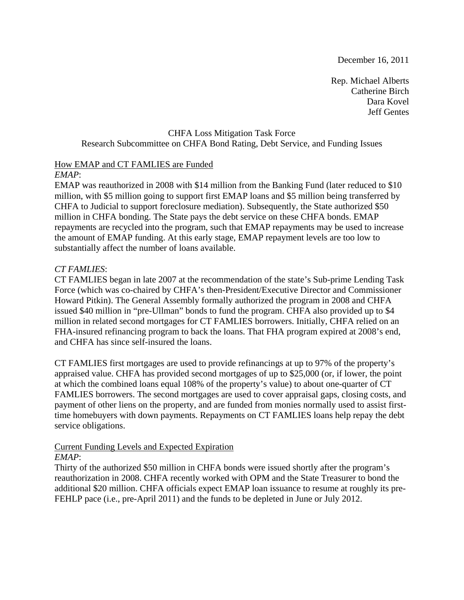December 16, 2011

Rep. Michael Alberts Catherine Birch Dara Kovel Jeff Gentes

# CHFA Loss Mitigation Task Force Research Subcommittee on CHFA Bond Rating, Debt Service, and Funding Issues

# How EMAP and CT FAMLIES are Funded

# *EMAP*:

EMAP was reauthorized in 2008 with \$14 million from the Banking Fund (later reduced to \$10 million, with \$5 million going to support first EMAP loans and \$5 million being transferred by CHFA to Judicial to support foreclosure mediation). Subsequently, the State authorized \$50 million in CHFA bonding. The State pays the debt service on these CHFA bonds. EMAP repayments are recycled into the program, such that EMAP repayments may be used to increase the amount of EMAP funding. At this early stage, EMAP repayment levels are too low to substantially affect the number of loans available.

# *CT FAMLIES*:

CT FAMLIES began in late 2007 at the recommendation of the state's Sub-prime Lending Task Force (which was co-chaired by CHFA's then-President/Executive Director and Commissioner Howard Pitkin). The General Assembly formally authorized the program in 2008 and CHFA issued \$40 million in "pre-Ullman" bonds to fund the program. CHFA also provided up to \$4 million in related second mortgages for CT FAMLIES borrowers. Initially, CHFA relied on an FHA-insured refinancing program to back the loans. That FHA program expired at 2008's end, and CHFA has since self-insured the loans.

CT FAMLIES first mortgages are used to provide refinancings at up to 97% of the property's appraised value. CHFA has provided second mortgages of up to \$25,000 (or, if lower, the point at which the combined loans equal 108% of the property's value) to about one-quarter of CT FAMLIES borrowers. The second mortgages are used to cover appraisal gaps, closing costs, and payment of other liens on the property, and are funded from monies normally used to assist firsttime homebuyers with down payments. Repayments on CT FAMLIES loans help repay the debt service obligations.

# Current Funding Levels and Expected Expiration

# *EMAP*:

Thirty of the authorized \$50 million in CHFA bonds were issued shortly after the program's reauthorization in 2008. CHFA recently worked with OPM and the State Treasurer to bond the additional \$20 million. CHFA officials expect EMAP loan issuance to resume at roughly its pre-FEHLP pace (i.e., pre-April 2011) and the funds to be depleted in June or July 2012.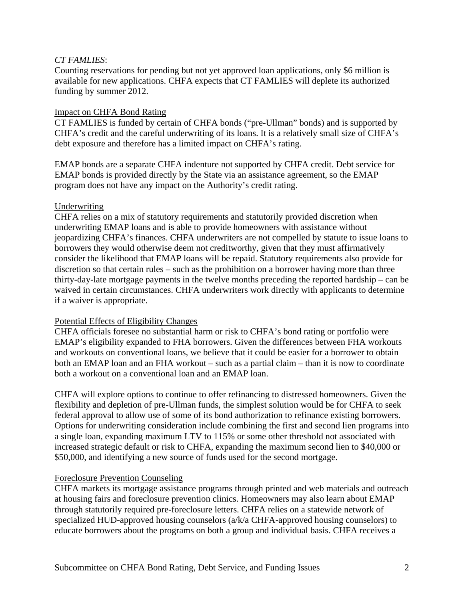## *CT FAMLIES*:

Counting reservations for pending but not yet approved loan applications, only \$6 million is available for new applications. CHFA expects that CT FAMLIES will deplete its authorized funding by summer 2012.

## Impact on CHFA Bond Rating

CT FAMLIES is funded by certain of CHFA bonds ("pre-Ullman" bonds) and is supported by CHFA's credit and the careful underwriting of its loans. It is a relatively small size of CHFA's debt exposure and therefore has a limited impact on CHFA's rating.

EMAP bonds are a separate CHFA indenture not supported by CHFA credit. Debt service for EMAP bonds is provided directly by the State via an assistance agreement, so the EMAP program does not have any impact on the Authority's credit rating.

### Underwriting

CHFA relies on a mix of statutory requirements and statutorily provided discretion when underwriting EMAP loans and is able to provide homeowners with assistance without jeopardizing CHFA's finances. CHFA underwriters are not compelled by statute to issue loans to borrowers they would otherwise deem not creditworthy, given that they must affirmatively consider the likelihood that EMAP loans will be repaid. Statutory requirements also provide for discretion so that certain rules – such as the prohibition on a borrower having more than three thirty-day-late mortgage payments in the twelve months preceding the reported hardship – can be waived in certain circumstances. CHFA underwriters work directly with applicants to determine if a waiver is appropriate.

# Potential Effects of Eligibility Changes

CHFA officials foresee no substantial harm or risk to CHFA's bond rating or portfolio were EMAP's eligibility expanded to FHA borrowers. Given the differences between FHA workouts and workouts on conventional loans, we believe that it could be easier for a borrower to obtain both an EMAP loan and an FHA workout – such as a partial claim – than it is now to coordinate both a workout on a conventional loan and an EMAP loan.

CHFA will explore options to continue to offer refinancing to distressed homeowners. Given the flexibility and depletion of pre-Ullman funds, the simplest solution would be for CHFA to seek federal approval to allow use of some of its bond authorization to refinance existing borrowers. Options for underwriting consideration include combining the first and second lien programs into a single loan, expanding maximum LTV to 115% or some other threshold not associated with increased strategic default or risk to CHFA, expanding the maximum second lien to \$40,000 or \$50,000, and identifying a new source of funds used for the second mortgage.

### Foreclosure Prevention Counseling

CHFA markets its mortgage assistance programs through printed and web materials and outreach at housing fairs and foreclosure prevention clinics. Homeowners may also learn about EMAP through statutorily required pre-foreclosure letters. CHFA relies on a statewide network of specialized HUD-approved housing counselors (a/k/a CHFA-approved housing counselors) to educate borrowers about the programs on both a group and individual basis. CHFA receives a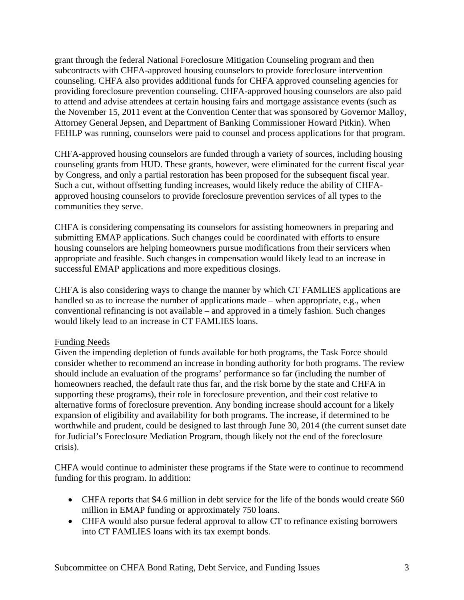grant through the federal National Foreclosure Mitigation Counseling program and then subcontracts with CHFA-approved housing counselors to provide foreclosure intervention counseling. CHFA also provides additional funds for CHFA approved counseling agencies for providing foreclosure prevention counseling. CHFA-approved housing counselors are also paid to attend and advise attendees at certain housing fairs and mortgage assistance events (such as the November 15, 2011 event at the Convention Center that was sponsored by Governor Malloy, Attorney General Jepsen, and Department of Banking Commissioner Howard Pitkin). When FEHLP was running, counselors were paid to counsel and process applications for that program.

CHFA-approved housing counselors are funded through a variety of sources, including housing counseling grants from HUD. These grants, however, were eliminated for the current fiscal year by Congress, and only a partial restoration has been proposed for the subsequent fiscal year. Such a cut, without offsetting funding increases, would likely reduce the ability of CHFAapproved housing counselors to provide foreclosure prevention services of all types to the communities they serve.

CHFA is considering compensating its counselors for assisting homeowners in preparing and submitting EMAP applications. Such changes could be coordinated with efforts to ensure housing counselors are helping homeowners pursue modifications from their servicers when appropriate and feasible. Such changes in compensation would likely lead to an increase in successful EMAP applications and more expeditious closings.

CHFA is also considering ways to change the manner by which CT FAMLIES applications are handled so as to increase the number of applications made – when appropriate, e.g., when conventional refinancing is not available – and approved in a timely fashion. Such changes would likely lead to an increase in CT FAMLIES loans.

# Funding Needs

Given the impending depletion of funds available for both programs, the Task Force should consider whether to recommend an increase in bonding authority for both programs. The review should include an evaluation of the programs' performance so far (including the number of homeowners reached, the default rate thus far, and the risk borne by the state and CHFA in supporting these programs), their role in foreclosure prevention, and their cost relative to alternative forms of foreclosure prevention. Any bonding increase should account for a likely expansion of eligibility and availability for both programs. The increase, if determined to be worthwhile and prudent, could be designed to last through June 30, 2014 (the current sunset date for Judicial's Foreclosure Mediation Program, though likely not the end of the foreclosure crisis).

CHFA would continue to administer these programs if the State were to continue to recommend funding for this program. In addition:

- CHFA reports that \$4.6 million in debt service for the life of the bonds would create \$60 million in EMAP funding or approximately 750 loans.
- CHFA would also pursue federal approval to allow CT to refinance existing borrowers into CT FAMLIES loans with its tax exempt bonds.